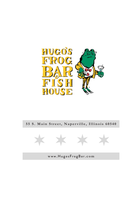

#### **55 S. Main Street, Naperville, Illinois 60540**



**w** ww.HugosFrogBar**.com**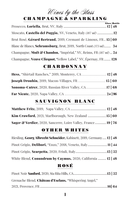# *U* ines by the Slass<br>CHAMPAGNE & SPARKLING

|                                                                   | <b>Glass Bottle</b> |
|-------------------------------------------------------------------|---------------------|
| Moscato, Castello del Poggio, NV, Veneto, Italy (187 ml) 12       |                     |
| Brut Rosé, Gérard Bertrand, 2019, Cremant de Limoux, FR., 15   60 |                     |
| Blanc de Blancs, Schramsburg, Brut, 2019, North Coast (375 ml) 34 |                     |
| Champagne, Moët & Chandon, "Impérial," NV, Reims, FR (187 ml)  24 |                     |
| Champagne, Veuve Clicquot, "Yellow Label," NV, Épernay, FR 128    |                     |

#### **CHARDONNAY**

| <b>Joseph Drouhin,</b> 2019, Macon-Villages, FR 15   60 |  |
|---------------------------------------------------------|--|
|                                                         |  |
|                                                         |  |

#### **SAUVIGNON BLANC**

| <b>Kim Crawford,</b> 2021, Marlborough, New Zealand  15   60             |  |
|--------------------------------------------------------------------------|--|
| <b>Sager &amp; Verdier,</b> 2020, Sancerre, Loire Valley, France 19   76 |  |

#### **OTHER WHITES**

| Riesling, Georg Albrecht Schneider, Kabinett, 2019, Germany 12   48 |  |
|---------------------------------------------------------------------|--|
| Pinot Grigio, <b>Delibori,</b> "Enzo," 2018, Veneto, Italy11   44   |  |
|                                                                     |  |
| White Blend, Conundrum by Caymus, 2020, California  12   48         |  |

#### **ROSÉ**

| Grenache Blend, Château d'Esclans, "Whispering Angel," |  |
|--------------------------------------------------------|--|
|                                                        |  |

#### 1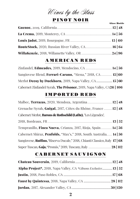## Wines by the Slass

#### **PINOT NOIR**

|                                                           | <b>Glass Bottle</b> |
|-----------------------------------------------------------|---------------------|
|                                                           |                     |
|                                                           |                     |
|                                                           |                     |
| <b>RouteStock,</b> 2020, Russian River Valley, CA 16   64 |                     |
|                                                           |                     |

#### **AMERICAN REDS**

| Zinfandel, Edmeades, 2019, Mendocino, CA 14   56                      |  |
|-----------------------------------------------------------------------|--|
| Sangiovese Blend, Ferrari-Carano, "Siena," 2018, CA 15   60           |  |
| Merlot Decoy by Duckhorn, 2019, Napa Valley, CA 15   60               |  |
| Cabernet/Zinfandel/Syrah, The Prisoner, 2019, Napa Valley, CA26   106 |  |

#### **IMPORTED REDS**

| Malbec, Terrazas, 2020, Mendoza, Argentina 12   48                            |  |
|-------------------------------------------------------------------------------|--|
| Grenache/Syrah, Guigal, 2017, Côtes du Rhône, France  12   48                 |  |
| Cabernet/Merlot, Barons de Rothschild (Lafite), "Les Légendes",               |  |
|                                                                               |  |
| Tempranillo, <b>Finca Nueva</b> , Crianza, 2017, Rioja, Spain 14   56         |  |
| Cabernet/Shiraz, <b>Penfolds,</b> "Max's," 2018, South Australia <b>14 56</b> |  |
| Sangiovese, Ruffino, "Riserva Ducale," 2018, Chianti Classico, Italy 17 68    |  |
|                                                                               |  |

#### **CABERNET SAUVIGNON**

| <b>Alpha Project*</b> , 2018, Napa Valley, CA *Gibsons Exclusive 13   52 |  |
|--------------------------------------------------------------------------|--|
|                                                                          |  |
|                                                                          |  |
|                                                                          |  |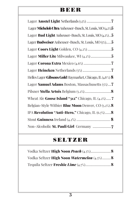## **BEER**

| Lager Michelob Ultra Anheuser-Busch, St. Louis, MO (4.2%)5         |
|--------------------------------------------------------------------|
| Lager Bud Light Anheuser-Busch, St. Louis, MO (4.2%)5              |
| Lager Budweiser Anheuser-Busch, St. Louis, MO (5%) 5               |
|                                                                    |
|                                                                    |
|                                                                    |
|                                                                    |
| Helles Lager Gibsons Gold Haymarket, Chicago, IL (4.8 %) 8         |
| Lager Samuel Adams Boston, Massachusetts (5%)7                     |
|                                                                    |
| Wheat Ale <b>Goose Island "312"</b> Chicago, IL $(4.2\%)$ <b>7</b> |
| Belgian-Style Witbier Blue Moon Denver, CO (5.2%).8                |
| IPA Revolution "Anti-Hero," Chicago, IL (6.7%)                     |
|                                                                    |
|                                                                    |

## **SELTZER**

| Vodka Seltzer High Noon Watermelon (4.5%) 8 |
|---------------------------------------------|
|                                             |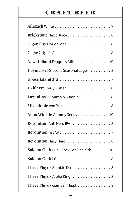## **CRAFT BEER**

| Brickstone Haz'd Juice  8               |
|-----------------------------------------|
| Cigar City Florida Man  8               |
|                                         |
| New Holland Dragon's Milk 10            |
| Haymarket Gibsons Seasonal Lager  8     |
|                                         |
|                                         |
| Lagunitas Lil' Sumpin Sumpin  8         |
|                                         |
| Noon Whistle Gummy Series  10           |
| Revolution Anti Hero IPA  8             |
|                                         |
| Revolution Hazy Hero  8                 |
| Solemn Oath Punk Rock For Rich Kids  10 |
|                                         |
| Three Floyds Zombie Dust  8             |
| Three Floyds Alpha King  8              |
| Three Floyds Gumball Head 8             |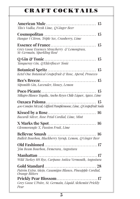## **CRAFT COCKTAILS**

| Tito's Vodka, Fresh Lime, Q Ginger Beer                                    |
|----------------------------------------------------------------------------|
| Hangar 1 Citron, Triple Sec, Cranberry, Lime                               |
| Grey Goose Essences Strawberry & Lemongrass,<br>St-Germain, Sparkling Rosé |
| Tanqueray Gin, Q Elderflower Tonic                                         |
| Ketel One Botanical Grapefruit & Rose, Aperol, Prosecco                    |
| Sipsmith Gin, Lavender, Honey, Lemon                                       |
| Milagro Blanco Tequila, Ancho Reyes Chile Liquer, Agave, Lime              |
| 400 Conejos Mezcal, Giffard Pamplemoose, Lime, QGrapefruit Soda            |
| Bacardi Silver, Rose Petal Cordial, Lime, Mint                             |
| Glenmorangie X, Passion Fruit, Lime                                        |
| Bulleit Bourbon, Blackberry Syrup, Lemon, Q Ginger Beer                    |
| Fim Beam Bourbon, Demerara, Angostura                                      |
| Wild Turkey 101 Rye, Carpano Antica Vermouth, Angostura                    |
| Patrón Extra Añejo, Casamigos Blanco, Pineapple Cordial,<br>Orange Bitters |
| Grey Goose L'Poire, St. Germain, Liquid Alchemist Prickly<br>Pear          |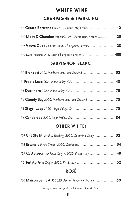## **WHITE WINE CHAMPAGNE & SPARKLING**

| 101 Gerard Bértrand Cuvee, Crémant, NV, France 40       |  |
|---------------------------------------------------------|--|
| 102 Moët & Chandon Imperial, NV, Champagne, France  125 |  |
| 103 Veuve Clicquot NV, Brut, Champagne, France 128      |  |
| 104 Dom Perignon, 2010, Brut, Champagne, France 455     |  |

#### **SAUVIGNON BLANC**

| 110 <b>Brancott</b> 2021, Marlborough, New Zealand  32 |  |
|--------------------------------------------------------|--|
|                                                        |  |
|                                                        |  |
|                                                        |  |
|                                                        |  |
|                                                        |  |

#### **OTHER WHITES**

| 107 Cht Ste Michelle Riesling, 2020, Columbia Valley  32 |  |
|----------------------------------------------------------|--|
|                                                          |  |
| 109 Castelvecchio Pinot Grigio, 2020, Friuli, Italy 48   |  |
|                                                          |  |

### **ROSÉ**

| 120 Maison Saint AIX 2020, Aix-en-Provence, France  60 |  |
|--------------------------------------------------------|--|
| Vintages Are Subject To Change. Thank You              |  |

####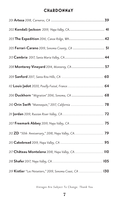#### **CHARDONNAY**

| 202 Kendall-Jackson 2019, Napa Valley, CA 41              |
|-----------------------------------------------------------|
| 203 The Expedition 2016, Canoe Ridge, WA 42               |
| 205 Ferrari-Carano 2019, Sonoma County, CA  51            |
| 213 Cambria 2017, Santa Maria Valley, CA 44               |
| 208 Monterey Vineyard 2014, Monterey, CA 57               |
|                                                           |
|                                                           |
| 206 Duckhorn "Migration" 2016, Sonoma, CA  68             |
| 210 Orin Swift "Mannequin," 2017, California  78          |
|                                                           |
| 207 Freemark Abbey 2019, Napa Valley, CA  75              |
|                                                           |
|                                                           |
| 217 Château Montelena 2018, Napa Valley, CA 110           |
|                                                           |
| 219 Kistler "Les Noisetiers," 2019, Sonoma Coast, CA  130 |

*Vintages Are Subject To Change. Thank You*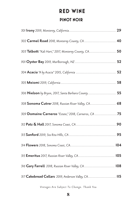## **RED WINE**

#### **PINOT NOIR**

| 302 Carmel Road 2018, Monterey County, CA  40         |
|-------------------------------------------------------|
| 303 Talbott "Kali Hart," 2017, Monterey County, CA 50 |
|                                                       |
|                                                       |
|                                                       |
| 306 Nielson by Bryon, 2017, Santa Barbara County 55   |
| 308 Sonoma Cutrer 2018, Russian River Valley, CA 68   |
| 309 Domaine Carneros "Estate," 2018, Carneros, CA 75  |
|                                                       |
|                                                       |
|                                                       |
| 315 Emeritus 2017, Russian River Valley, CA 105       |
| 316 Gary Farrell 2018, Russian River Valley, CA 108   |
| 317 Cakebread Cellars 2019, Anderson Valley, CA.  115 |
|                                                       |

*Vintages Are Subject To Change. Thank You*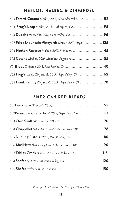#### **MERLOT, MALBEC & ZINFANDEL**

| 403 Ferarri-Carano Merlot, 2016, Alexander Valley, CA 52 |
|----------------------------------------------------------|
| 404 Frog's Leap Merlot, 2018, Rutherford, CA 95          |
|                                                          |
| 407 Pride Mountain Vineyards Merlot, 2017, Napa 135      |
| 904 Norton Reserve Malbec, 2019, Mendoza,  45            |
| 905 Catena Malbec, 2019, Mendoza, Argentina 55           |
|                                                          |
| 602 Frog's Leap Zinfandel, 2019, Napa Valley, CA 62      |
| 603 Frank Family Zinfandel, 2019, Napa Valley, CA  70    |

#### **AMERICAN RED BLENDS**

| 502 Paraaduxx Cabernet blend, 2018, Napa Valley, CA 57    |  |
|-----------------------------------------------------------|--|
|                                                           |  |
| 504 Chappellet "Mountain Cuvee," Cabernet Blend, 2019  78 |  |
| 505 Dueling Pistols 2016, Paso Robles, CA  80             |  |
| 506 Mad Hatter by Dancing Hare, Cabernet Blend, 201890    |  |
| 507 Tablas Creek "Espirit 2015, Paso Robles, CA  115      |  |
|                                                           |  |
|                                                           |  |

*Vintages Are Subject To Change. Thank You*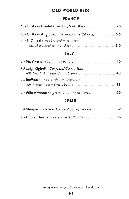#### **OLD WORLD REDS**

#### **FRANCE**

| 605 Château Angludet La Réserve, Merlot/Cabernet,  96 |  |
|-------------------------------------------------------|--|
| 607 E. Guigal Grenache/Syrah/Mourvedre,               |  |

#### **ITALY**

| 915 Luigi Righetti "Campolieti," Corvina Blend           |  |
|----------------------------------------------------------|--|
| 916 Ruffino "Riserva Ducale Oro," Sangiovese             |  |
| 917 Villa Antinori Sangiovese, 2019, Chianti Classico 99 |  |

#### **SPAIN**

| 918 Marques de Riscal Tempranillo, 2016, Rioja Riserva 52 |  |
|-----------------------------------------------------------|--|
| 919 Numanthia Termes Tempranillo, 2017, Toro 65           |  |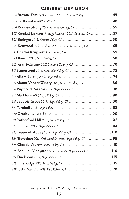#### **CABERNET SAUVIGNON**

| 804 Browne Family "Heritage," 2017, Columbia Valley,  45    |  |
|-------------------------------------------------------------|--|
|                                                             |  |
| 806 Rodney Strong 2017, Sonoma County, CA 55                |  |
| 807 Kendall   ackson "Vintage Reserve," 2018, Sonoma, CA 57 |  |
|                                                             |  |
| 809 Kenwood "Jack London," 2017, Sonoma Mountain, CA  65    |  |
|                                                             |  |
|                                                             |  |
|                                                             |  |
|                                                             |  |
|                                                             |  |
| 815 Mount Veeder Winery 2019, Mount Veeder, CA 86           |  |
|                                                             |  |
|                                                             |  |
|                                                             |  |
|                                                             |  |
|                                                             |  |
|                                                             |  |
|                                                             |  |
|                                                             |  |
| 824 Trefethen 2018, Oak Knoll District, Napa Valley, CA 95  |  |
|                                                             |  |
| 826 Beaulieu Vineyard "Tapestry" 2016, Napa Valley, CA  110 |  |
|                                                             |  |
|                                                             |  |
|                                                             |  |

*Vintages Are Subject To Change. Thank You*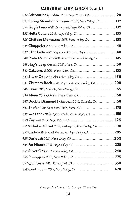#### **CABERNET SAUVIGNON (cont.)**

| 832 Adaptation by Odette, 2015, Napa Valley, CA120         |  |
|------------------------------------------------------------|--|
| 833 Spring Mountain Vineyard 2006, Napa Valley, CA 132     |  |
| 834 Frog's Leap 2018, Rutherford, Napa Valley, CA 132      |  |
| 835 Heitz Cellars 2015, Napa Valley, CA 135                |  |
| 836 Château Montelena 2018, Napa Valley, CA  138           |  |
|                                                            |  |
| 839 Cliff Lede 2018, Stag's Leap District, Napa 140        |  |
| 840 Pride Mountain 2018, Napa & Sonoma County, CA 145      |  |
| 841 Stag's Leap Artemis, 2018, Napa, CA 150                |  |
|                                                            |  |
| 843 Silver Oak 2017, Alexander Valley, CA 165              |  |
| 844 Chimney Rock 2018, Stag's Leap, Napa Valley, CA 200    |  |
|                                                            |  |
|                                                            |  |
| 847 Double Diamond by Schrader, 2016, Oakville, CA  168    |  |
| 848 Shafer "One Point Five," 2018, Napa, CA 175            |  |
| 849 Lyndenhurst by Spottswoode, 2015, Napa, CA  155        |  |
|                                                            |  |
| 851 Nickel & Nickel 2018, Rutherford, Napa Valley, CA  198 |  |
| 852 Cade 2018, Howell Mountain, Napa Valley, CA 205        |  |
|                                                            |  |
|                                                            |  |
|                                                            |  |
|                                                            |  |
|                                                            |  |
| 858 Continuum 2012, Napa Valley, CA  420                   |  |

*Vintages Are Subject To Change. Thank You*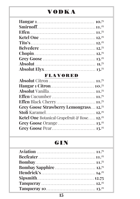## **VODKA**

#### **FLAVORED**

| Grey Goose Strawberry Lemongrass12. <sup>75</sup>       |
|---------------------------------------------------------|
|                                                         |
| Ketel One Botanical Grapefruit & Rose 12. <sup>25</sup> |
| Grey Goose Orange  13. <sup>25</sup>                    |
|                                                         |

## **G I N**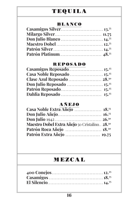## **TEQUILA**

#### **BLANCO**

#### **REPOSADO**

#### **AÑEJO**

| Maestro Dobel Extra Añejo 50 Cristalino 28. <sup>50</sup> |  |
|-----------------------------------------------------------|--|
|                                                           |  |
|                                                           |  |

## **MEZCAL**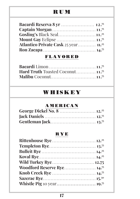## **RUM**

| Gosling's Black Seal11. <sup>25</sup>            |  |
|--------------------------------------------------|--|
|                                                  |  |
| Atlantico Private Cask 25 year 11. <sup>25</sup> |  |
|                                                  |  |

#### **FLAVORED**

| <b>Hard Truth Toasted Coconut 11.</b> <sup>75</sup> |  |
|-----------------------------------------------------|--|
|                                                     |  |

## **WHISKEY**

#### **AMERICAN**

| George Dickel No. 8  12. <sup>25</sup> |  |
|----------------------------------------|--|
|                                        |  |
|                                        |  |

#### **RYE**

| Woodford Reserve Rye 14. <sup>75</sup> |
|----------------------------------------|
|                                        |
|                                        |
|                                        |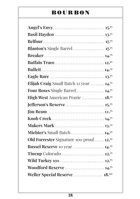## **BOURBON**

| Elijah Craig Small Batch 12 year  14. <sup>75</sup> |
|-----------------------------------------------------|
| Four Roses Single Barrel 14. <sup>75</sup>          |
| High West American Prarie  18.75                    |
| Jefferson's Reserve 15. <sup>25</sup>               |
|                                                     |
|                                                     |
|                                                     |
| Michter's Small Batch  14. <sup>25</sup>            |
| Old Forrester Signature 100 proof 12. <sup>25</sup> |
|                                                     |
| <b>Russel Reserve</b> 10 year  14. <sup>25</sup>    |
| Tincup Colorado 12. <sup>75</sup>                   |
| Wild Turkey 101 12. <sup>75</sup>                   |
| Woodford Reserve  14. <sup>75</sup>                 |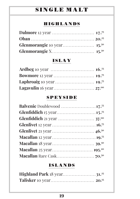## **SINGLE MALT**

#### **HIGHLANDS**

#### **ISLAY**

#### **SPEYSIDE**

| Balvenie Doublewood 17. <sup>75</sup> |
|---------------------------------------|
| Glenfiddich 15 year15. <sup>75</sup>  |
|                                       |
|                                       |
|                                       |
|                                       |
|                                       |
|                                       |
|                                       |

#### **ISLANDS**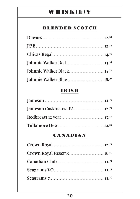## **WHISK(E)Y**

#### **BLENDED SCOTCH**

| Johnnie Walker Red 13. <sup>25</sup>          |  |
|-----------------------------------------------|--|
| <b>Johnnie Walker Black 14.</b> <sup>75</sup> |  |
|                                               |  |

#### **IRISH**

| Iameson Caskmates IPA 12. <sup>75</sup> |  |
|-----------------------------------------|--|
|                                         |  |
|                                         |  |

#### **CANADIAN**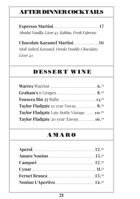## **AFTER DINNER COCKTAILS**

**Espresso Martini**.............................. **17** *Absolut Vanilla, Licor 43, Kahlua, Fresh Espresso*

**Chocolate Karamel Martini**.................**16** *Stoli Salted Karamel, Dorda Double Chocolate, Licor 43*

## **DESSERT WINE**

| Taylor Fladgate 10 year Tawny 8. <sup>25</sup>         |  |
|--------------------------------------------------------|--|
| Taylor Fladgate Late Bottle Vintage  10. <sup>25</sup> |  |
| Taylor Fladgate 20 year Tawny 16. <sup>25</sup>        |  |

## **AMARO**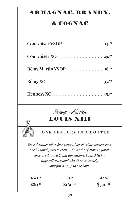## **A R M A G N A C , B R A N D Y ,**

## **& COGNAC**

| <b>Rémy Martin VSOP</b> 16. <sup>75</sup> |
|-------------------------------------------|
|                                           |
|                                           |



#### **ONE CENTURY IN A BOTTLE**

*Each decanter takes four generations of cellar masters over one hundred years to craft. A fireworks of aromas, floral, spice, fruit, wood & nut dimensions, Louis XIII has unparalleled complexity & an extremely long finish of up to one hour.*

| $1/2$ OZ   | 1 OZ        | <b>2 OZ</b>          |
|------------|-------------|----------------------|
| $$80^{50}$ | $$160^{50}$ | \$320. <sup>00</sup> |